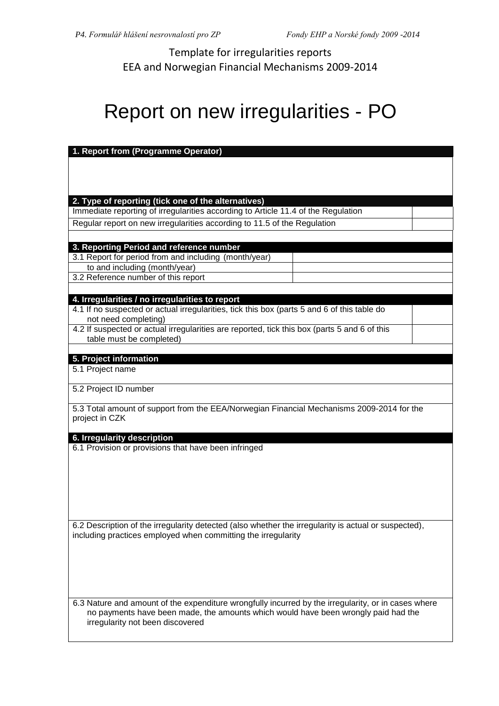Template for irregularities reports EEA and Norwegian Financial Mechanisms 2009-2014

## Report on new irregularities - PO

| 1. Report from (Programme Operator)                                                                  |                                                                                   |  |
|------------------------------------------------------------------------------------------------------|-----------------------------------------------------------------------------------|--|
|                                                                                                      |                                                                                   |  |
|                                                                                                      |                                                                                   |  |
|                                                                                                      |                                                                                   |  |
|                                                                                                      |                                                                                   |  |
| 2. Type of reporting (tick one of the alternatives)                                                  |                                                                                   |  |
|                                                                                                      | Immediate reporting of irregularities according to Article 11.4 of the Regulation |  |
| Regular report on new irregularities according to 11.5 of the Regulation                             |                                                                                   |  |
|                                                                                                      |                                                                                   |  |
| 3. Reporting Period and reference number                                                             |                                                                                   |  |
| 3.1 Report for period from and including (month/year)                                                |                                                                                   |  |
| to and including (month/year)                                                                        |                                                                                   |  |
| 3.2 Reference number of this report                                                                  |                                                                                   |  |
|                                                                                                      |                                                                                   |  |
| 4. Irregularities / no irregularities to report                                                      |                                                                                   |  |
| 4.1 If no suspected or actual irregularities, tick this box (parts 5 and 6 of this table do          |                                                                                   |  |
| not need completing)                                                                                 |                                                                                   |  |
| 4.2 If suspected or actual irregularities are reported, tick this box (parts 5 and 6 of this         |                                                                                   |  |
| table must be completed)                                                                             |                                                                                   |  |
|                                                                                                      |                                                                                   |  |
| 5. Project information<br>5.1 Project name                                                           |                                                                                   |  |
|                                                                                                      |                                                                                   |  |
| 5.2 Project ID number                                                                                |                                                                                   |  |
|                                                                                                      |                                                                                   |  |
| 5.3 Total amount of support from the EEA/Norwegian Financial Mechanisms 2009-2014 for the            |                                                                                   |  |
| project in CZK                                                                                       |                                                                                   |  |
|                                                                                                      |                                                                                   |  |
| 6. Irregularity description                                                                          |                                                                                   |  |
| 6.1 Provision or provisions that have been infringed                                                 |                                                                                   |  |
|                                                                                                      |                                                                                   |  |
|                                                                                                      |                                                                                   |  |
|                                                                                                      |                                                                                   |  |
|                                                                                                      |                                                                                   |  |
|                                                                                                      |                                                                                   |  |
|                                                                                                      |                                                                                   |  |
| 6.2 Description of the irregularity detected (also whether the irregularity is actual or suspected), |                                                                                   |  |
| including practices employed when committing the irregularity                                        |                                                                                   |  |
|                                                                                                      |                                                                                   |  |
|                                                                                                      |                                                                                   |  |
|                                                                                                      |                                                                                   |  |
|                                                                                                      |                                                                                   |  |
|                                                                                                      |                                                                                   |  |
| 6.3 Nature and amount of the expenditure wrongfully incurred by the irregularity, or in cases where  |                                                                                   |  |
| no payments have been made, the amounts which would have been wrongly paid had the                   |                                                                                   |  |
| irregularity not been discovered                                                                     |                                                                                   |  |
|                                                                                                      |                                                                                   |  |
|                                                                                                      |                                                                                   |  |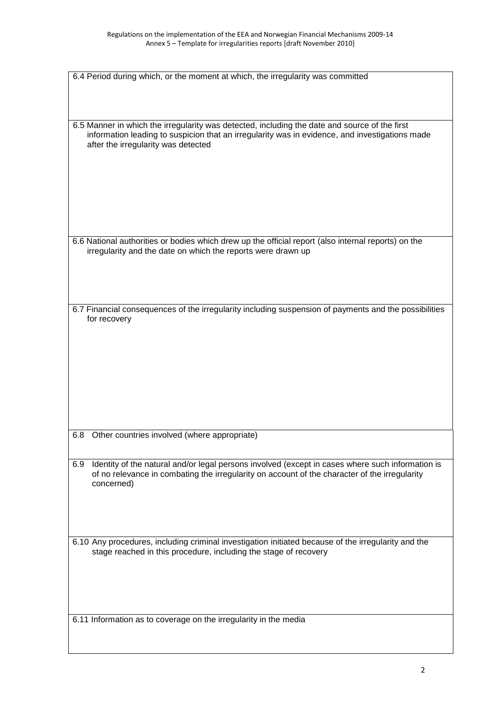| 6.4 Period during which, or the moment at which, the irregularity was committed                                                                                                                                                        |
|----------------------------------------------------------------------------------------------------------------------------------------------------------------------------------------------------------------------------------------|
|                                                                                                                                                                                                                                        |
|                                                                                                                                                                                                                                        |
| 6.5 Manner in which the irregularity was detected, including the date and source of the first<br>information leading to suspicion that an irregularity was in evidence, and investigations made<br>after the irregularity was detected |
|                                                                                                                                                                                                                                        |
| 6.6 National authorities or bodies which drew up the official report (also internal reports) on the<br>irregularity and the date on which the reports were drawn up                                                                    |
| 6.7 Financial consequences of the irregularity including suspension of payments and the possibilities<br>for recovery                                                                                                                  |
|                                                                                                                                                                                                                                        |
|                                                                                                                                                                                                                                        |
|                                                                                                                                                                                                                                        |
| 6.8<br>Other countries involved (where appropriate)                                                                                                                                                                                    |
|                                                                                                                                                                                                                                        |
| Identity of the natural and/or legal persons involved (except in cases where such information is<br>6.9<br>of no relevance in combating the irregularity on account of the character of the irregularity<br>concerned)                 |
|                                                                                                                                                                                                                                        |
| 6.10 Any procedures, including criminal investigation initiated because of the irregularity and the<br>stage reached in this procedure, including the stage of recovery                                                                |
| 6.11 Information as to coverage on the irregularity in the media                                                                                                                                                                       |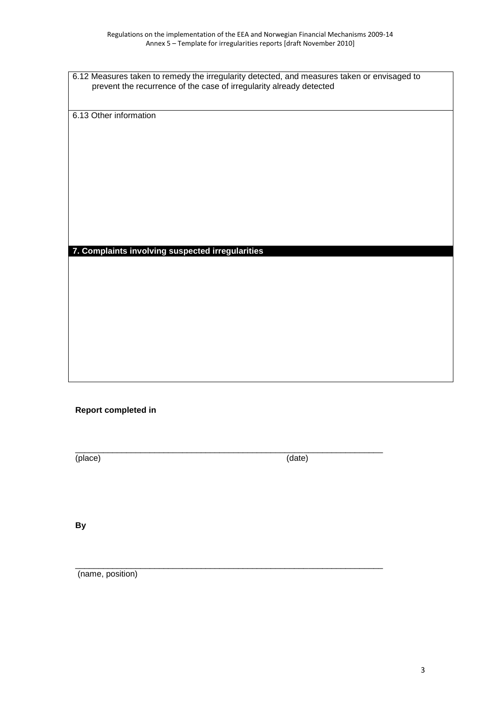6.12 Measures taken to remedy the irregularity detected, and measures taken or envisaged to prevent the recurrence of the case of irregularity already detected

6.13 Other information

## **7. Complaints involving suspected irregularities**

## **Report completed in**

(place) (date)

 $\_$  ,  $\_$  ,  $\_$  ,  $\_$  ,  $\_$  ,  $\_$  ,  $\_$  ,  $\_$  ,  $\_$  ,  $\_$  ,  $\_$  ,  $\_$  ,  $\_$  ,  $\_$  ,  $\_$  ,  $\_$  ,  $\_$  ,  $\_$  ,  $\_$ 

 $\_$  ,  $\_$  ,  $\_$  ,  $\_$  ,  $\_$  ,  $\_$  ,  $\_$  ,  $\_$  ,  $\_$  ,  $\_$  ,  $\_$  ,  $\_$  ,  $\_$  ,  $\_$  ,  $\_$  ,  $\_$  ,  $\_$  ,  $\_$  ,  $\_$ 

**By**

(name, position)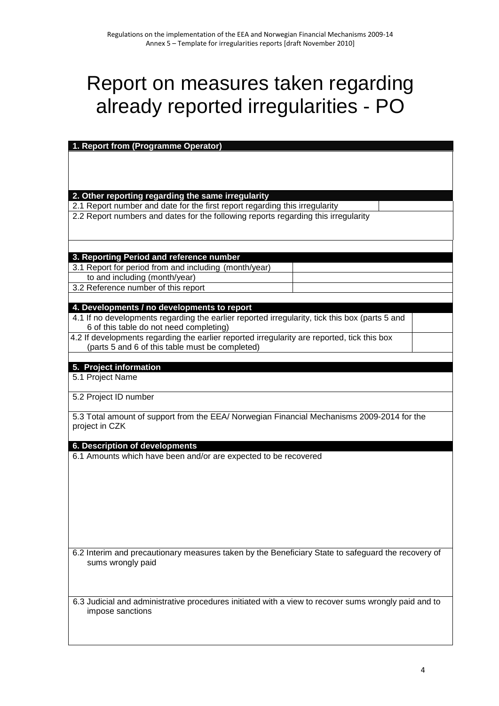## Report on measures taken regarding already reported irregularities - PO

| 1. Report from (Programme Operator)                                                                  |  |  |
|------------------------------------------------------------------------------------------------------|--|--|
|                                                                                                      |  |  |
|                                                                                                      |  |  |
|                                                                                                      |  |  |
|                                                                                                      |  |  |
| 2. Other reporting regarding the same irregularity                                                   |  |  |
| 2.1 Report number and date for the first report regarding this irregularity                          |  |  |
| 2.2 Report numbers and dates for the following reports regarding this irregularity                   |  |  |
|                                                                                                      |  |  |
|                                                                                                      |  |  |
|                                                                                                      |  |  |
| 3. Reporting Period and reference number                                                             |  |  |
| 3.1 Report for period from and including (month/year)                                                |  |  |
| to and including (month/year)                                                                        |  |  |
| 3.2 Reference number of this report                                                                  |  |  |
|                                                                                                      |  |  |
| 4. Developments / no developments to report                                                          |  |  |
| 4.1 If no developments regarding the earlier reported irregularity, tick this box (parts 5 and       |  |  |
| 6 of this table do not need completing)                                                              |  |  |
| 4.2 If developments regarding the earlier reported irregularity are reported, tick this box          |  |  |
| (parts 5 and 6 of this table must be completed)                                                      |  |  |
|                                                                                                      |  |  |
| 5. Project information                                                                               |  |  |
| 5.1 Project Name                                                                                     |  |  |
|                                                                                                      |  |  |
| 5.2 Project ID number                                                                                |  |  |
|                                                                                                      |  |  |
| 5.3 Total amount of support from the EEA/ Norwegian Financial Mechanisms 2009-2014 for the           |  |  |
| project in CZK                                                                                       |  |  |
|                                                                                                      |  |  |
| 6. Description of developments                                                                       |  |  |
| 6.1 Amounts which have been and/or are expected to be recovered                                      |  |  |
|                                                                                                      |  |  |
|                                                                                                      |  |  |
|                                                                                                      |  |  |
|                                                                                                      |  |  |
|                                                                                                      |  |  |
|                                                                                                      |  |  |
|                                                                                                      |  |  |
|                                                                                                      |  |  |
| 6.2 Interim and precautionary measures taken by the Beneficiary State to safeguard the recovery of   |  |  |
| sums wrongly paid                                                                                    |  |  |
|                                                                                                      |  |  |
|                                                                                                      |  |  |
|                                                                                                      |  |  |
| 6.3 Judicial and administrative procedures initiated with a view to recover sums wrongly paid and to |  |  |
| impose sanctions                                                                                     |  |  |
|                                                                                                      |  |  |
|                                                                                                      |  |  |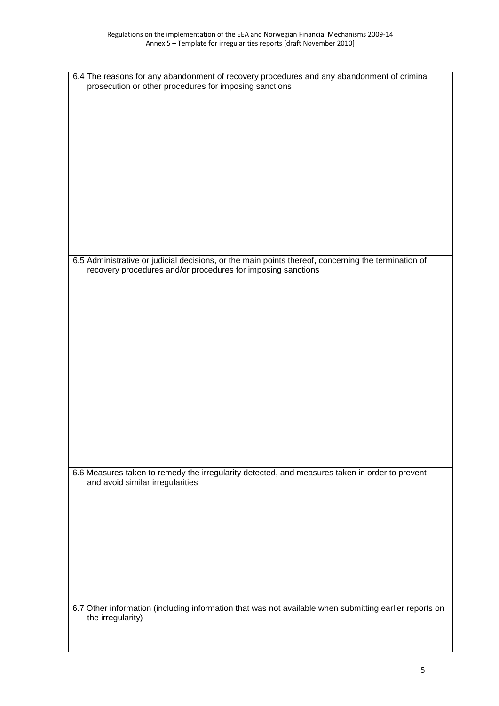| 6.4 The reasons for any abandonment of recovery procedures and any abandonment of criminal<br>prosecution or other procedures for imposing sanctions |  |
|------------------------------------------------------------------------------------------------------------------------------------------------------|--|
|                                                                                                                                                      |  |
|                                                                                                                                                      |  |
|                                                                                                                                                      |  |
|                                                                                                                                                      |  |
|                                                                                                                                                      |  |
|                                                                                                                                                      |  |
|                                                                                                                                                      |  |
|                                                                                                                                                      |  |
|                                                                                                                                                      |  |
|                                                                                                                                                      |  |
|                                                                                                                                                      |  |
| 6.5 Administrative or judicial decisions, or the main points thereof, concerning the termination of                                                  |  |
| recovery procedures and/or procedures for imposing sanctions                                                                                         |  |
|                                                                                                                                                      |  |
|                                                                                                                                                      |  |
|                                                                                                                                                      |  |
|                                                                                                                                                      |  |
|                                                                                                                                                      |  |
|                                                                                                                                                      |  |
|                                                                                                                                                      |  |
|                                                                                                                                                      |  |
|                                                                                                                                                      |  |
|                                                                                                                                                      |  |
|                                                                                                                                                      |  |
|                                                                                                                                                      |  |
|                                                                                                                                                      |  |
| 6.6 Measures taken to remedy the irregularity detected, and measures taken in order to prevent<br>and avoid similar irregularities                   |  |
|                                                                                                                                                      |  |
|                                                                                                                                                      |  |
|                                                                                                                                                      |  |
|                                                                                                                                                      |  |
|                                                                                                                                                      |  |
|                                                                                                                                                      |  |
|                                                                                                                                                      |  |
|                                                                                                                                                      |  |
| 6.7 Other information (including information that was not available when submitting earlier reports on                                               |  |
| the irregularity)                                                                                                                                    |  |
|                                                                                                                                                      |  |
|                                                                                                                                                      |  |